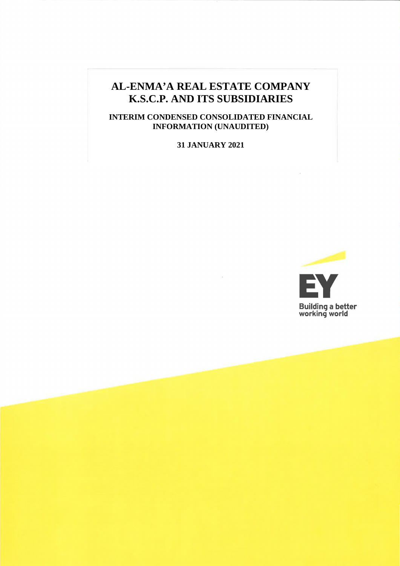# **AL-ENMA'A REAL ESTATE COMPANY K.S.C.P. AND ITS SUBSIDIARIES**

# **INTERIM CONDENSED CONSOLIDATED FINANCIAL INFORMATION (UNAUDITED)**

# **31 JANUARY 2021**

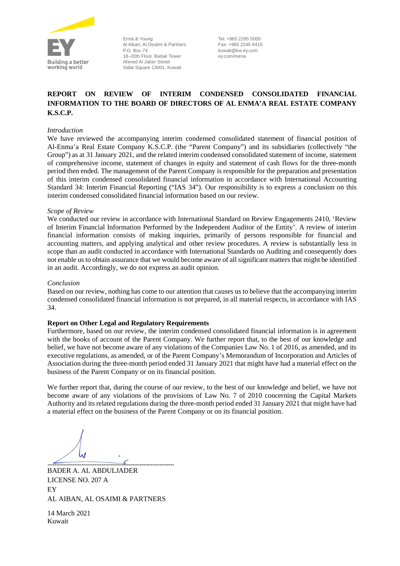

Ernst & Young Al Aiban, Al Osaimi & Partners P.O. Box 74 18–20th Floor, Baitak Tower Ahmed Al Jaber Street Safat Square 13001, Kuwait

Tel: +965 2295 5000 Fax: +965 2245 6419 kuwait@kw.ey.com ey.com/mena

# **REPORT ON REVIEW OF INTERIM CONDENSED CONSOLIDATED FINANCIAL INFORMATION TO THE BOARD OF DIRECTORS OF AL ENMA'A REAL ESTATE COMPANY K.S.C.P.**

#### *Introduction*

We have reviewed the accompanying interim condensed consolidated statement of financial position of Al-Enma'a Real Estate Company K.S.C.P. (the "Parent Company") and its subsidiaries (collectively "the Group") as at 31 January 2021, and the related interim condensed consolidated statement of income, statement of comprehensive income, statement of changes in equity and statement of cash flows for the three-month period then ended. The management of the Parent Company is responsible for the preparation and presentation of this interim condensed consolidated financial information in accordance with International Accounting Standard 34: Interim Financial Reporting ("IAS 34"). Our responsibility is to express a conclusion on this interim condensed consolidated financial information based on our review.

#### *Scope of Review*

We conducted our review in accordance with International Standard on Review Engagements 2410, 'Review of Interim Financial Information Performed by the Independent Auditor of the Entity'. A review of interim financial information consists of making inquiries, primarily of persons responsible for financial and accounting matters, and applying analytical and other review procedures. A review is substantially less in scope than an audit conducted in accordance with International Standards on Auditing and consequently does not enable us to obtain assurance that we would become aware of all significant matters that might be identified in an audit. Accordingly, we do not express an audit opinion.

#### *Conclusion*

Based on our review, nothing has come to our attention that causes us to believe that the accompanying interim condensed consolidated financial information is not prepared, in all material respects, in accordance with IAS 34.

#### **Report on Other Legal and Regulatory Requirements**

Furthermore, based on our review, the interim condensed consolidated financial information is in agreement with the books of account of the Parent Company. We further report that, to the best of our knowledge and belief, we have not become aware of any violations of the Companies Law No. 1 of 2016, as amended, and its executive regulations, as amended, or of the Parent Company's Memorandum of Incorporation and Articles of Association during the three-month period ended 31 January 2021 that might have had a material effect on the business of the Parent Company or on its financial position.

We further report that, during the course of our review, to the best of our knowledge and belief, we have not become aware of any violations of the provisions of Law No. 7 of 2010 concerning the Capital Markets Authority and its related regulations during the three-month period ended 31 January 2021 that might have had a material effect on the business of the Parent Company or on its financial position.

BADER A. AL ABDULJADER LICENSE NO. 207 A EY AL AIBAN, AL OSAIMI & PARTNERS

14 March 2021 Kuwait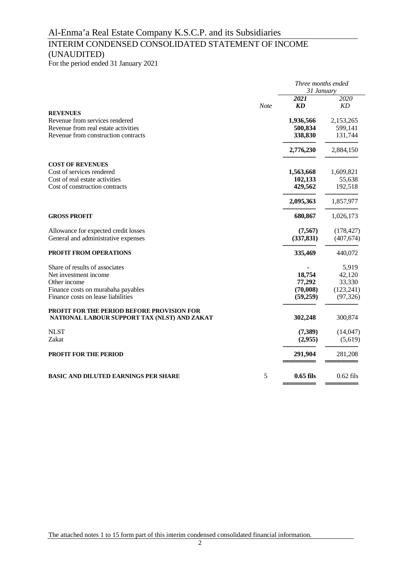# INTERIM CONDENSED CONSOLIDATED STATEMENT OF INCOME (UNAUDITED)

For the period ended 31 January 2021

|                                                                                                   |      | Three months ended<br>31 January |                   |  |
|---------------------------------------------------------------------------------------------------|------|----------------------------------|-------------------|--|
|                                                                                                   | Note | 2021<br>KD                       | 2020<br><b>KD</b> |  |
| <b>REVENUES</b>                                                                                   |      |                                  |                   |  |
| Revenue from services rendered                                                                    |      | 1,936,566                        | 2,153,265         |  |
| Revenue from real estate activities                                                               |      | 500,834                          | 599,141           |  |
| Revenue from construction contracts                                                               |      | 338,830                          | 131,744           |  |
|                                                                                                   |      | 2,776,230                        | 2,884,150         |  |
| <b>COST OF REVENUES</b>                                                                           |      |                                  |                   |  |
| Cost of services rendered                                                                         |      | 1,563,668                        | 1,609,821         |  |
| Cost of real estate activities                                                                    |      | 102,133                          | 55,638            |  |
| Cost of construction contracts                                                                    |      | 429,562                          | 192,518           |  |
|                                                                                                   |      | 2,095,363                        | 1,857,977         |  |
| <b>GROSS PROFIT</b>                                                                               |      | 680,867                          | 1,026,173         |  |
| Allowance for expected credit losses                                                              |      | (7,567)                          | (178, 427)        |  |
| General and administrative expenses                                                               |      | (337, 831)                       | (407, 674)        |  |
| PROFIT FROM OPERATIONS                                                                            |      | 335,469                          | 440,072           |  |
| Share of results of associates                                                                    |      |                                  | 5,919             |  |
| Net investment income                                                                             |      | 18,754                           | 42,120            |  |
| Other income                                                                                      |      | 77,292                           | 33,330            |  |
| Finance costs on murabaha payables                                                                |      | (70,008)                         | (123, 241)        |  |
| Finance costs on lease liabilities                                                                |      | (59,259)                         | (97, 326)         |  |
| <b>PROFIT FOR THE PERIOD BEFORE PROVISION FOR</b><br>NATIONAL LABOUR SUPPORT TAX (NLST) AND ZAKAT |      | 302,248                          | 300,874           |  |
| <b>NLST</b>                                                                                       |      | (7, 389)                         | (14,047)          |  |
| Zakat                                                                                             |      | (2,955)                          | (5,619)           |  |
| <b>PROFIT FOR THE PERIOD</b>                                                                      |      | 291,904                          | 281,208           |  |
| <b>BASIC AND DILUTED EARNINGS PER SHARE</b>                                                       | 5    | $0.65$ fils                      | $0.62$ fils       |  |
|                                                                                                   |      |                                  |                   |  |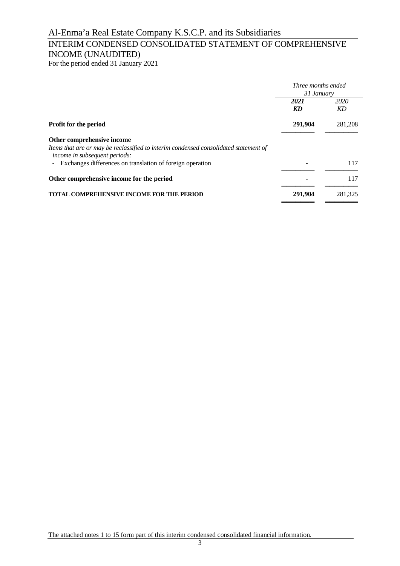# INTERIM CONDENSED CONSOLIDATED STATEMENT OF COMPREHENSIVE INCOME (UNAUDITED)

For the period ended 31 January 2021

|                                                                                                                       | Three months ended |         |  |
|-----------------------------------------------------------------------------------------------------------------------|--------------------|---------|--|
|                                                                                                                       | 31 January         |         |  |
|                                                                                                                       | 2021               | 2020    |  |
|                                                                                                                       | KD                 | KD      |  |
| Profit for the period                                                                                                 | 291,904            | 281,208 |  |
| Other comprehensive income                                                                                            |                    |         |  |
| Items that are or may be reclassified to interim condensed consolidated statement of<br>income in subsequent periods: |                    |         |  |
| Exchanges differences on translation of foreign operation                                                             |                    | 117     |  |
| Other comprehensive income for the period                                                                             |                    | 117     |  |
| <b>TOTAL COMPREHENSIVE INCOME FOR THE PERIOD</b>                                                                      | 291,904            | 281,325 |  |
|                                                                                                                       |                    |         |  |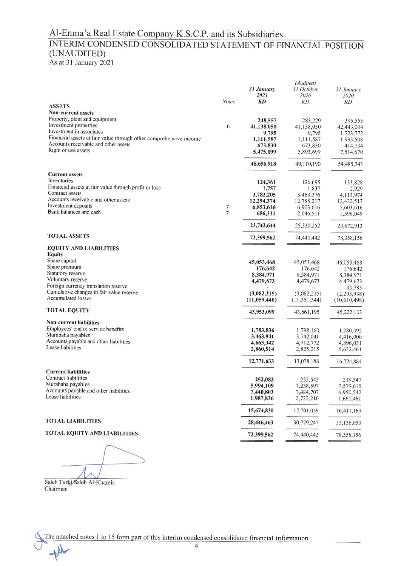# Al-Enma'a Real Estate Company K.S.C.P. and its Subsidiaries INTERIM CONDENSED CONSOLIDATED STATEMENT OF FINANCIAL POSITION (UNAUDITED) As at 31 January 2021

|                                                                                                           |                  |              | (Audited)      |              |
|-----------------------------------------------------------------------------------------------------------|------------------|--------------|----------------|--------------|
|                                                                                                           |                  | 31 January   | 31 October     | 31 January   |
|                                                                                                           |                  | 2021         | 2020           | 2020         |
|                                                                                                           | <b>Notes</b>     | <b>KD</b>    | KD             | KD           |
| <b>ASSETS</b>                                                                                             |                  |              |                |              |
| <b>Non-current assets</b>                                                                                 |                  |              |                |              |
| Property, plant and equipment                                                                             |                  | 248,557      | 283,229        | 395,555      |
| Investment properties<br>Investment in associates                                                         | 6                | 41,138,050   | 41,138,050     | 42,443,004   |
|                                                                                                           |                  | 9,795        | 9,795          | 1,723,772    |
| Financial assets at fair value through other comprehensive income<br>Accounts receivable and other assets |                  | 1,111,587    | 1,111,587      | 1,993,508    |
| Right of use assets                                                                                       |                  | 673,830      | 673,830        | 414,734      |
|                                                                                                           |                  | 5,475,099    | 5,893,699      | 7,514,670    |
|                                                                                                           |                  | 48,656,918   | 49,110,190     | 54,485,243   |
| <b>Current assets</b>                                                                                     |                  |              |                |              |
| Inventories                                                                                               |                  | 124,361      | 126,695        | 133,828      |
| Financial assets at fair value through profit or loss                                                     |                  | 1,757        | 1,837          | 2,929        |
| Contract assets                                                                                           |                  | 3,782,205    | 3,463,376      | 4,113,974    |
| Accounts receivable and other assets                                                                      |                  | 12,294,374   | 12,788,217     | 12,422,517   |
| Investment deposits                                                                                       | $\boldsymbol{7}$ | 6,853,616    | 6,903,616      | 5,603,616    |
| Bank balances and cash                                                                                    | $\overline{7}$   | 686,331      | 2,046,511      | 1,596,049    |
|                                                                                                           |                  | 23,742,644   | 25,330,252     | 23,872,913   |
| <b>TOTAL ASSETS</b>                                                                                       |                  | 72,399,562   | 74,440,442     | 78,358,156   |
| <b>EQUITY AND LIABILITIES</b>                                                                             |                  |              |                |              |
| <b>Equity</b>                                                                                             |                  |              |                |              |
| Share capital                                                                                             |                  | 45,053,468   | 45,053,468     | 45,053,468   |
| Share premium                                                                                             |                  | 176,642      | 176,642        | 176,642      |
| Statutory reserve                                                                                         |                  | 8,384,971    | 8,384,971      | 8,384,971    |
| Voluntary reserve                                                                                         |                  | 4,479,673    | 4,479,673      | 4,479,673    |
| Foreign currency translation reserve                                                                      |                  |              |                | 33,785       |
| Cumulative changes in fair value reserve                                                                  |                  | (3,082,215)  | (3,082,215)    | (2,295,938)  |
| <b>Accumulated losses</b>                                                                                 |                  | (11,059,440) | (11, 351, 344) | (10,610,498) |
| <b>TOTAL EQUITY</b>                                                                                       |                  | 43,953,099   | 43,661,195     | 45,222,103   |
| <b>Non-current liabilities</b>                                                                            |                  |              |                |              |
| Employees' end of service benefits                                                                        |                  | 1,783,836    | 1,798,160      | 1,780,392    |
| Murabaha payables                                                                                         |                  | 3,463,941    | 3,742,041      | 4,416,000    |
| Accounts payable and other liabilities                                                                    |                  | 4,663,342    | 4,712,772      | 4,896,031    |
| Lease liabilities                                                                                         |                  | 2,860,514    | 2,825,215      | 5,632,461    |
|                                                                                                           |                  | 12,771,633   | 13,078,188     | 16,724,884   |
| <b>Current liabilities</b>                                                                                |                  |              |                |              |
| Contract liabilities                                                                                      |                  | 252,082      | 255,545        | 219,547      |
| Murabaha payables                                                                                         |                  | 5,994,109    | 7,238,597      | 7,579,619    |
| Accounts payable and other liabilities                                                                    |                  | 7,440,803    | 7,484,707      | 6,950,542    |
| Lease liabilities                                                                                         |                  | 1,987,836    | 2,722,210      | 1,661,461    |
|                                                                                                           |                  | 15,674,830   | 17,701,059     | 16,411,169   |
| <b>TOTAL LIABILITIES</b>                                                                                  |                  | 28,446,463   | 30,779,247     | 33,136,053   |
| TOTAL EQUITY AND LIABILITIES                                                                              |                  | 72,399,562   | 74,440,442     | 78,358,156   |

Saleh Turki Saleh Al-Khamis Chairman

The attached notes 1 to 15 form part of this interim condensed consolidated financial information.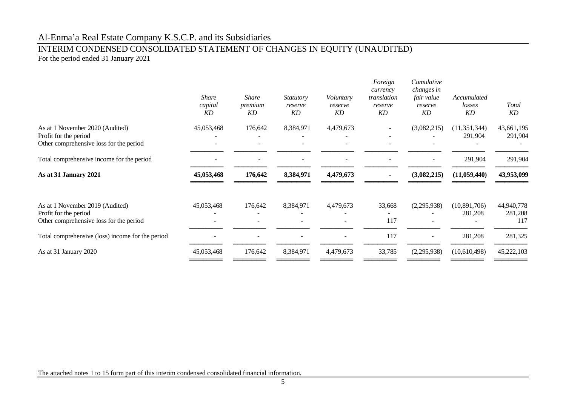# INTERIM CONDENSED CONSOLIDATED STATEMENT OF CHANGES IN EQUITY (UNAUDITED)

For the period ended 31 January 2021

|                                                                                                     | <b>Share</b><br>capital<br>KD | <b>Share</b><br>premium<br>KD | <i>Statutory</i><br>reserve<br><b>KD</b> | Voluntary<br>reserve<br>KD | Foreign<br>currency<br>translation<br>reserve<br>KD | Cumulative<br>changes in<br>fair value<br>reserve<br>KD | Accumulated<br>losses<br><b>KD</b> | Total<br>KD                  |
|-----------------------------------------------------------------------------------------------------|-------------------------------|-------------------------------|------------------------------------------|----------------------------|-----------------------------------------------------|---------------------------------------------------------|------------------------------------|------------------------------|
| As at 1 November 2020 (Audited)<br>Profit for the period<br>Other comprehensive loss for the period | 45,053,468                    | 176,642                       | 8,384,971                                | 4,479,673                  |                                                     | (3,082,215)                                             | (11, 351, 344)<br>291,904          | 43,661,195<br>291,904        |
| Total comprehensive income for the period                                                           |                               |                               |                                          |                            |                                                     |                                                         | 291,904                            | 291,904                      |
| As at 31 January 2021                                                                               | 45,053,468                    | 176,642                       | 8,384,971                                | 4,479,673                  |                                                     | (3,082,215)                                             | (11,059,440)                       | 43,953,099                   |
| As at 1 November 2019 (Audited)<br>Profit for the period<br>Other comprehensive loss for the period | 45,053,468                    | 176,642                       | 8,384,971                                | 4,479,673                  | 33,668<br>117                                       | (2,295,938)                                             | (10,891,706)<br>281,208            | 44,940,778<br>281,208<br>117 |
| Total comprehensive (loss) income for the period                                                    |                               |                               |                                          | $\blacksquare$             | 117                                                 |                                                         | 281,208                            | 281,325                      |
| As at 31 January 2020                                                                               | 45,053,468                    | 176,642                       | 8,384,971                                | 4,479,673                  | 33,785                                              | (2,295,938)                                             | (10,610,498)                       | 45,222,103                   |

The attached notes 1 to 15 form part of this interim condensed consolidated financial information.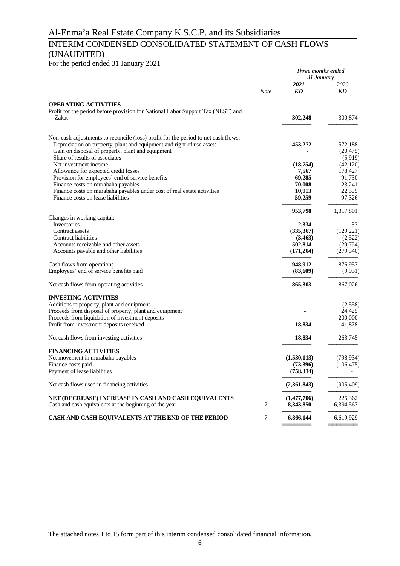# INTERIM CONDENSED CONSOLIDATED STATEMENT OF CASH FLOWS (UNAUDITED)

For the period ended 31 January 2021

| $\frac{1}{2}$ of the period ended 31 January 2021                                         |             | Three months ended<br>31 January |                       |
|-------------------------------------------------------------------------------------------|-------------|----------------------------------|-----------------------|
|                                                                                           | <b>Note</b> | 2021<br>KD                       | 2020<br>KD            |
| <b>OPERATING ACTIVITIES</b>                                                               |             |                                  |                       |
| Profit for the period before provision for National Labor Support Tax (NLST) and<br>Zakat |             | 302,248                          | 300,874               |
| Non-cash adjustments to reconcile (loss) profit for the period to net cash flows:         |             |                                  |                       |
| Depreciation on property, plant and equipment and right of use assets                     |             | 453,272                          | 572,188               |
| Gain on disposal of property, plant and equipment                                         |             |                                  | (20, 475)             |
| Share of results of associates                                                            |             |                                  | (5,919)               |
| Net investment income                                                                     |             | (18,754)                         | (42, 120)             |
| Allowance for expected credit losses                                                      |             | 7,567                            | 178,427               |
| Provision for employees' end of service benefits                                          |             | 69,285                           | 91,750                |
| Finance costs on murabaha payables                                                        |             | 70,008                           | 123,241               |
| Finance costs on murabaha payables under cost of real estate activities                   |             | 10,913                           | 22,509                |
| Finance costs on lease liabilities                                                        |             | 59,259                           | 97,326                |
|                                                                                           |             | 953,798                          | 1,317,801             |
| Changes in working capital:                                                               |             |                                  |                       |
| Inventories                                                                               |             | 2,334                            | 33                    |
| Contract assets<br>Contract liabilities                                                   |             | (335,367)<br>(3,463)             | (129, 221)<br>(2,522) |
| Accounts receivable and other assets                                                      |             | 502,814                          | (29,794)              |
| Accounts payable and other liabilities                                                    |             | (171,204)                        | (279, 340)            |
| Cash flows from operations                                                                |             | 948,912                          | 876,957               |
| Employees' end of service benefits paid                                                   |             | (83,609)                         | (9,931)               |
| Net cash flows from operating activities                                                  |             | 865,303                          | 867,026               |
| <b>INVESTING ACTIVITIES</b>                                                               |             |                                  |                       |
| Additions to property, plant and equipment                                                |             |                                  | (2,558)               |
| Proceeds from disposal of property, plant and equipment                                   |             |                                  | 24,425                |
| Proceeds from liquidation of investment deposits                                          |             |                                  | 200,000               |
| Profit from investment deposits received                                                  |             | 18,834                           | 41,878                |
| Net cash flows from investing activities                                                  |             | 18,834                           | 263,745               |
| <b>FINANCING ACTIVITIES</b>                                                               |             |                                  |                       |
| Net movement in murabaha payables                                                         |             | (1,530,113)                      | (798, 934)            |
| Finance costs paid                                                                        |             | (73,396)                         | (106, 475)            |
| Payment of lease liabilities                                                              |             | (758, 334)                       |                       |
| Net cash flows used in financing activities                                               |             | (2,361,843)                      | (905, 409)            |
| NET (DECREASE) INCREASE IN CASH AND CASH EQUIVALENTS                                      |             | (1,477,706)                      | 225,362               |
| Cash and cash equivalents at the beginning of the year                                    | 7           | 8,343,850                        | 6,394,567             |
| CASH AND CASH EQUIVALENTS AT THE END OF THE PERIOD                                        | 7           | 6,866,144                        | 6,619,929             |

**═══════** ═══════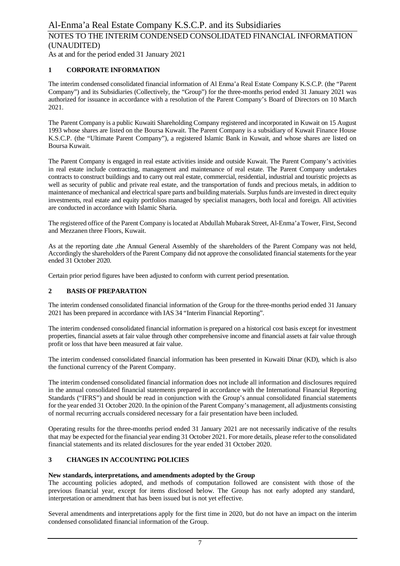As at and for the period ended 31 January 2021

# **1 CORPORATE INFORMATION**

The interim condensed consolidated financial information of Al Enma'a Real Estate Company K.S.C.P. (the "Parent Company") and its Subsidiaries (Collectively, the "Group") for the three-months period ended 31 January 2021 was authorized for issuance in accordance with a resolution of the Parent Company's Board of Directors on 10 March 2021.

The Parent Company is a public Kuwaiti Shareholding Company registered and incorporated in Kuwait on 15 August 1993 whose shares are listed on the Boursa Kuwait. The Parent Company is a subsidiary of Kuwait Finance House K.S.C.P. (the "Ultimate Parent Company"), a registered Islamic Bank in Kuwait, and whose shares are listed on Boursa Kuwait.

The Parent Company is engaged in real estate activities inside and outside Kuwait. The Parent Company's activities in real estate include contracting, management and maintenance of real estate. The Parent Company undertakes contracts to construct buildings and to carry out real estate, commercial, residential, industrial and touristic projects as well as security of public and private real estate, and the transportation of funds and precious metals, in addition to maintenance of mechanical and electrical spare parts and building materials. Surplus funds are invested in direct equity investments, real estate and equity portfolios managed by specialist managers, both local and foreign. All activities are conducted in accordance with Islamic Sharia.

The registered office of the Parent Company is located at Abdullah Mubarak Street, Al-Enma'a Tower, First, Second and Mezzanen three Floors, Kuwait.

As at the reporting date ,the Annual General Assembly of the shareholders of the Parent Company was not held, Accordingly the shareholders of the Parent Company did not approve the consolidated financial statements for the year ended 31 October 2020.

Certain prior period figures have been adjusted to conform with current period presentation.

# **2 BASIS OF PREPARATION**

The interim condensed consolidated financial information of the Group for the three-months period ended 31 January 2021 has been prepared in accordance with IAS 34 "Interim Financial Reporting".

The interim condensed consolidated financial information is prepared on a historical cost basis except for investment properties, financial assets at fair value through other comprehensive income and financial assets at fair value through profit or loss that have been measured at fair value.

The interim condensed consolidated financial information has been presented in Kuwaiti Dinar (KD), which is also the functional currency of the Parent Company.

The interim condensed consolidated financial information does not include all information and disclosures required in the annual consolidated financial statements prepared in accordance with the International Financial Reporting Standards ("IFRS") and should be read in conjunction with the Group's annual consolidated financial statements for the year ended 31 October 2020. In the opinion of the Parent Company's management, all adjustments consisting of normal recurring accruals considered necessary for a fair presentation have been included.

Operating results for the three-months period ended 31 January 2021 are not necessarily indicative of the results that may be expected for the financial year ending 31 October 2021. For more details, please refer to the consolidated financial statements and its related disclosures for the year ended 31 October 2020.

# **3 CHANGES IN ACCOUNTING POLICIES**

### **New standards, interpretations, and amendments adopted by the Group**

The accounting policies adopted, and methods of computation followed are consistent with those of the previous financial year, except for items disclosed below. The Group has not early adopted any standard, interpretation or amendment that has been issued but is not yet effective.

Several amendments and interpretations apply for the first time in 2020, but do not have an impact on the interim condensed consolidated financial information of the Group.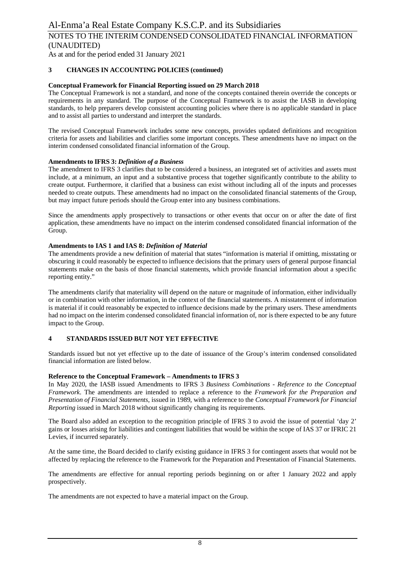As at and for the period ended 31 January 2021

### **3 CHANGES IN ACCOUNTING POLICIES (continued)**

### **Conceptual Framework for Financial Reporting issued on 29 March 2018**

The Conceptual Framework is not a standard, and none of the concepts contained therein override the concepts or requirements in any standard. The purpose of the Conceptual Framework is to assist the IASB in developing standards, to help preparers develop consistent accounting policies where there is no applicable standard in place and to assist all parties to understand and interpret the standards.

The revised Conceptual Framework includes some new concepts, provides updated definitions and recognition criteria for assets and liabilities and clarifies some important concepts. These amendments have no impact on the interim condensed consolidated financial information of the Group.

### **Amendments to IFRS 3:** *Definition of a Business*

The amendment to IFRS 3 clarifies that to be considered a business, an integrated set of activities and assets must include, at a minimum, an input and a substantive process that together significantly contribute to the ability to create output. Furthermore, it clarified that a business can exist without including all of the inputs and processes needed to create outputs. These amendments had no impact on the consolidated financial statements of the Group, but may impact future periods should the Group enter into any business combinations.

Since the amendments apply prospectively to transactions or other events that occur on or after the date of first application, these amendments have no impact on the interim condensed consolidated financial information of the Group.

### **Amendments to IAS 1 and IAS 8:** *Definition of Material*

The amendments provide a new definition of material that states "information is material if omitting, misstating or obscuring it could reasonably be expected to influence decisions that the primary users of general purpose financial statements make on the basis of those financial statements, which provide financial information about a specific reporting entity."

The amendments clarify that materiality will depend on the nature or magnitude of information, either individually or in combination with other information, in the context of the financial statements. A misstatement of information is material if it could reasonably be expected to influence decisions made by the primary users. These amendments had no impact on the interim condensed consolidated financial information of, nor is there expected to be any future impact to the Group.

### **4 STANDARDS ISSUED BUT NOT YET EFFECTIVE**

Standards issued but not yet effective up to the date of issuance of the Group's interim condensed consolidated financial information are listed below.

### **Reference to the Conceptual Framework – Amendments to IFRS 3**

In May 2020, the IASB issued Amendments to IFRS 3 *Business Combinations - Reference to the Conceptual Framework*. The amendments are intended to replace a reference to the *Framework for the Preparation and Presentation of Financial Statements*, issued in 1989, with a reference to the *Conceptual Framework for Financial Reporting* issued in March 2018 without significantly changing its requirements.

The Board also added an exception to the recognition principle of IFRS 3 to avoid the issue of potential 'day 2' gains or losses arising for liabilities and contingent liabilities that would be within the scope of IAS 37 or IFRIC 21 Levies, if incurred separately.

At the same time, the Board decided to clarify existing guidance in IFRS 3 for contingent assets that would not be affected by replacing the reference to the Framework for the Preparation and Presentation of Financial Statements.

The amendments are effective for annual reporting periods beginning on or after 1 January 2022 and apply prospectively.

The amendments are not expected to have a material impact on the Group.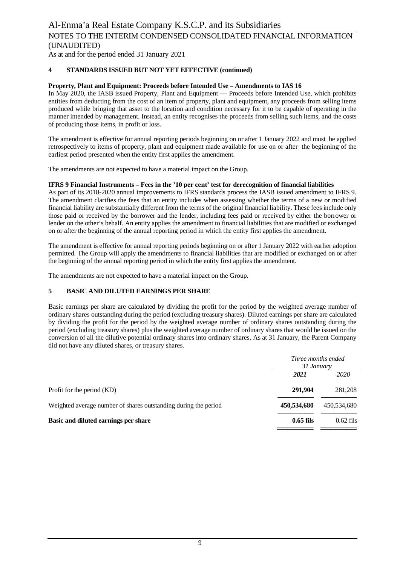As at and for the period ended 31 January 2021

# **4 STANDARDS ISSUED BUT NOT YET EFFECTIVE (continued)**

# **Property, Plant and Equipment: Proceeds before Intended Use – Amendments to IAS 16**

In May 2020, the IASB issued Property, Plant and Equipment — Proceeds before Intended Use, which prohibits entities from deducting from the cost of an item of property, plant and equipment, any proceeds from selling items produced while bringing that asset to the location and condition necessary for it to be capable of operating in the manner intended by management. Instead, an entity recognises the proceeds from selling such items, and the costs of producing those items, in profit or loss.

The amendment is effective for annual reporting periods beginning on or after 1 January 2022 and must be applied retrospectively to items of property, plant and equipment made available for use on or after the beginning of the earliest period presented when the entity first applies the amendment.

The amendments are not expected to have a material impact on the Group.

### **IFRS 9 Financial Instruments – Fees in the '10 per cent' test for derecognition of financial liabilities**

As part of its 2018-2020 annual improvements to IFRS standards process the IASB issued amendment to IFRS 9. The amendment clarifies the fees that an entity includes when assessing whether the terms of a new or modified financial liability are substantially different from the terms of the original financial liability. These fees include only those paid or received by the borrower and the lender, including fees paid or received by either the borrower or lender on the other's behalf. An entity applies the amendment to financial liabilities that are modified or exchanged on or after the beginning of the annual reporting period in which the entity first applies the amendment.

The amendment is effective for annual reporting periods beginning on or after 1 January 2022 with earlier adoption permitted. The Group will apply the amendments to financial liabilities that are modified or exchanged on or after the beginning of the annual reporting period in which the entity first applies the amendment.

The amendments are not expected to have a material impact on the Group.

# **5 BASIC AND DILUTED EARNINGS PER SHARE**

Basic earnings per share are calculated by dividing the profit for the period by the weighted average number of ordinary shares outstanding during the period (excluding treasury shares). Diluted earnings per share are calculated by dividing the profit for the period by the weighted average number of ordinary shares outstanding during the period (excluding treasury shares) plus the weighted average number of ordinary shares that would be issued on the conversion of all the dilutive potential ordinary shares into ordinary shares. As at 31 January, the Parent Company did not have any diluted shares, or treasury shares.

|                                                                 | <i>Three months ended</i><br>31 January |             |  |
|-----------------------------------------------------------------|-----------------------------------------|-------------|--|
|                                                                 | 2021                                    | 2020        |  |
| Profit for the period (KD)                                      | 291,904                                 | 281,208     |  |
| Weighted average number of shares outstanding during the period | 450,534,680                             | 450,534,680 |  |
| Basic and diluted earnings per share                            | $0.65$ fils                             | $0.62$ fils |  |
|                                                                 |                                         |             |  |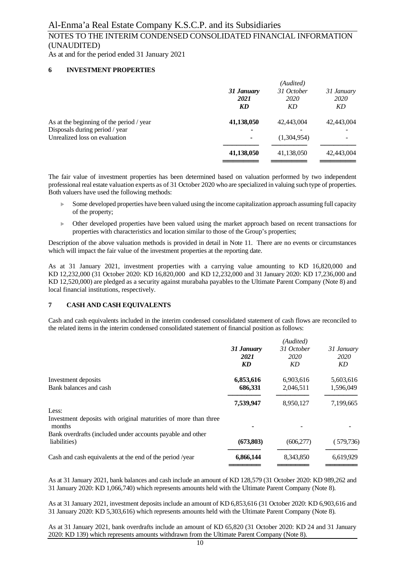As at and for the period ended 31 January 2021

### **6 INVESTMENT PROPERTIES**

|                                          | (Audited)          |                    |                    |  |  |  |
|------------------------------------------|--------------------|--------------------|--------------------|--|--|--|
|                                          | 31 January<br>2021 | 31 October<br>2020 | 31 January<br>2020 |  |  |  |
|                                          | KD                 | KD                 | KD                 |  |  |  |
| As at the beginning of the period / year | 41,138,050         | 42,443,004         | 42,443,004         |  |  |  |
| Disposals during period / year           |                    |                    |                    |  |  |  |
| Unrealized loss on evaluation            |                    | (1,304,954)        |                    |  |  |  |
|                                          | 41,138,050         | 41,138,050         | 42,443,004         |  |  |  |
|                                          |                    |                    |                    |  |  |  |

The fair value of investment properties has been determined based on valuation performed by two independent professional real estate valuation experts as of 31 October 2020 who are specialized in valuing such type of properties. Both valuers have used the following methods:

- Some developed properties have been valued using the income capitalization approach assuming full capacity of the property;
- <sup>u</sup> Other developed properties have been valued using the market approach based on recent transactions for properties with characteristics and location similar to those of the Group's properties;

Description of the above valuation methods is provided in detail in Note 11. There are no events or circumstances which will impact the fair value of the investment properties at the reporting date.

As at 31 January 2021, investment properties with a carrying value amounting to KD 16,820,000 and KD 12,232,000 (31 October 2020: KD 16,820,000 and KD 12,232,000 and 31 January 2020: KD 17,236,000 and KD 12,520,000) are pledged as a security against murabaha payables to the Ultimate Parent Company (Note 8) and local financial institutions, respectively.

#### **7 CASH AND CASH EQUIVALENTS**

Cash and cash equivalents included in the interim condensed consolidated statement of cash flows are reconciled to the related items in the interim condensed consolidated statement of financial position as follows:

|                                                                           | (Audited)  |            |            |  |
|---------------------------------------------------------------------------|------------|------------|------------|--|
|                                                                           | 31 January | 31 October | 31 January |  |
|                                                                           | 2021       | 2020       | 2020       |  |
|                                                                           | <b>KD</b>  | KD         | KD         |  |
| Investment deposits                                                       | 6,853,616  | 6,903,616  | 5,603,616  |  |
| Bank balances and cash                                                    | 686,331    | 2,046,511  | 1,596,049  |  |
|                                                                           | 7,539,947  | 8,950,127  | 7,199,665  |  |
| Less:                                                                     |            |            |            |  |
| Investment deposits with original maturities of more than three<br>months |            |            |            |  |
| Bank overdrafts (included under accounts payable and other                |            |            |            |  |
| liabilities)                                                              | (673,803)  | (606, 277) | (579, 736) |  |
| Cash and cash equivalents at the end of the period /year                  | 6,866,144  | 8,343,850  | 6,619,929  |  |
|                                                                           |            |            |            |  |

As at 31 January 2021, bank balances and cash include an amount of KD 128,579 (31 October 2020: KD 989,262 and 31 January 2020: KD 1,066,740) which represents amounts held with the Ultimate Parent Company (Note 8).

As at 31 January 2021, investment deposits include an amount of KD 6,853,616 (31 October 2020: KD 6,903,616 and 31 January 2020: KD 5,303,616) which represents amounts held with the Ultimate Parent Company (Note 8).

As at 31 January 2021, bank overdrafts include an amount of KD 65,820 (31 October 2020: KD 24 and 31 January 2020: KD 139) which represents amounts withdrawn from the Ultimate Parent Company (Note 8).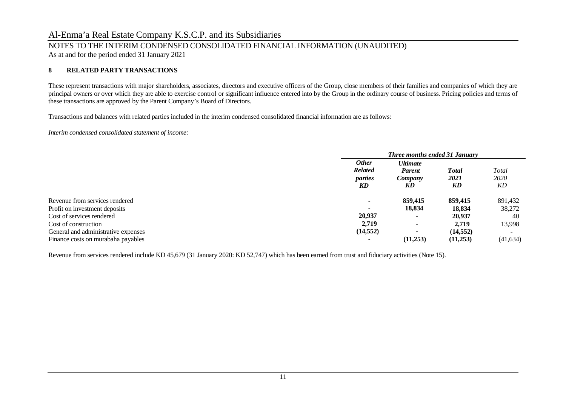# NOTES TO THE INTERIM CONDENSED CONSOLIDATED FINANCIAL INFORMATION (UNAUDITED)

As at and for the period ended 31 January 2021

### **8 RELATED PARTY TRANSACTIONS**

These represent transactions with major shareholders, associates, directors and executive officers of the Group, close members of their families and companies of which they are principal owners or over which they are able to exercise control or significant influence entered into by the Group in the ordinary course of business. Pricing policies and terms of these transactions are approved by the Parent Company's Board of Directors.

Transactions and balances with related parties included in the interim condensed consolidated financial information are as follows:

*Interim condensed consolidated statement of income:*

|                                     | <b>Three months ended 31 January</b> |                 |           |           |
|-------------------------------------|--------------------------------------|-----------------|-----------|-----------|
|                                     | <b>Other</b>                         | <b>Ultimate</b> |           |           |
|                                     | <b>Related</b>                       | <b>Parent</b>   | Total     | Total     |
|                                     | parties                              | Company         | 2021      | 2020      |
|                                     | KD                                   | KD              | KD        | KD        |
| Revenue from services rendered      |                                      | 859,415         | 859,415   | 891,432   |
| Profit on investment deposits       | $\overline{\phantom{a}}$             | 18,834          | 18.834    | 38,272    |
| Cost of services rendered           | 20,937                               |                 | 20.937    | 40        |
| Cost of construction                | 2.719                                |                 | 2.719     | 13,998    |
| General and administrative expenses | (14, 552)                            |                 | (14, 552) |           |
| Finance costs on murabaha payables  |                                      | (11,253)        | (11,253)  | (41, 634) |

Revenue from services rendered include KD 45,679 (31 January 2020: KD 52,747) which has been earned from trust and fiduciary activities (Note 15).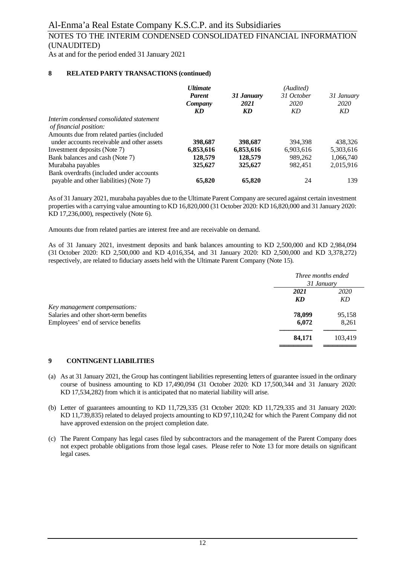As at and for the period ended 31 January 2021

### **8 RELATED PARTY TRANSACTIONS (continued)**

|                                            | <b>Ultimate</b><br><b>Parent</b><br>Company<br>KD | 31 January<br>2021<br>KD | (Audited)<br>31 October<br>2020<br>KD | 31 January<br>2020<br>KD |
|--------------------------------------------|---------------------------------------------------|--------------------------|---------------------------------------|--------------------------|
| Interim condensed consolidated statement   |                                                   |                          |                                       |                          |
| of financial position:                     |                                                   |                          |                                       |                          |
| Amounts due from related parties (included |                                                   |                          |                                       |                          |
| under accounts receivable and other assets | 398,687                                           | 398,687                  | 394,398                               | 438,326                  |
| Investment deposits (Note 7)               | 6,853,616                                         | 6,853,616                | 6,903,616                             | 5,303,616                |
| Bank balances and cash (Note 7)            | 128,579                                           | 128,579                  | 989.262                               | 1,066,740                |
| Murabaha payables                          | 325,627                                           | 325,627                  | 982.451                               | 2.015.916                |
| Bank overdrafts (included under accounts   |                                                   |                          |                                       |                          |
| payable and other liabilities) (Note 7)    | 65,820                                            | 65,820                   | 24                                    | 139                      |

As of 31 January 2021, murabaha payables due to the Ultimate Parent Company are secured against certain investment properties with a carrying value amounting to KD 16,820,000 (31 October 2020: KD 16,820,000 and 31 January 2020: KD 17,236,000), respectively (Note 6).

Amounts due from related parties are interest free and are receivable on demand.

As of 31 January 2021, investment deposits and bank balances amounting to KD 2,500,000 and KD 2,984,094 (31 October 2020: KD 2,500,000 and KD 4,016,354, and 31 January 2020: KD 2,500,000 and KD 3,378,272) respectively, are related to fiduciary assets held with the Ultimate Parent Company (Note 15).

|                                        |        | Three months ended<br>31 January |  |  |
|----------------------------------------|--------|----------------------------------|--|--|
|                                        |        |                                  |  |  |
|                                        | 2021   | <i>2020</i>                      |  |  |
|                                        | KD     | KD                               |  |  |
| Key management compensations:          |        |                                  |  |  |
| Salaries and other short-term benefits | 78,099 | 95,158                           |  |  |
| Employees' end of service benefits     | 6,072  | 8,261                            |  |  |
|                                        | 84,171 | 103.419                          |  |  |
|                                        |        |                                  |  |  |

#### **9 CONTINGENT LIABILITIES**

- (a) As at 31 January 2021, the Group has contingent liabilities representing letters of guarantee issued in the ordinary course of business amounting to KD 17,490,094 (31 October 2020: KD 17,500,344 and 31 January 2020: KD 17,534,282) from which it is anticipated that no material liability will arise.
- (b) Letter of guarantees amounting to KD 11,729,335 (31 October 2020: KD 11,729,335 and 31 January 2020: KD 11,739,835) related to delayed projects amounting to KD 97,110,242 for which the Parent Company did not have approved extension on the project completion date.
- (c) The Parent Company has legal cases filed by subcontractors and the management of the Parent Company does not expect probable obligations from those legal cases. Please refer to Note 13 for more details on significant legal cases.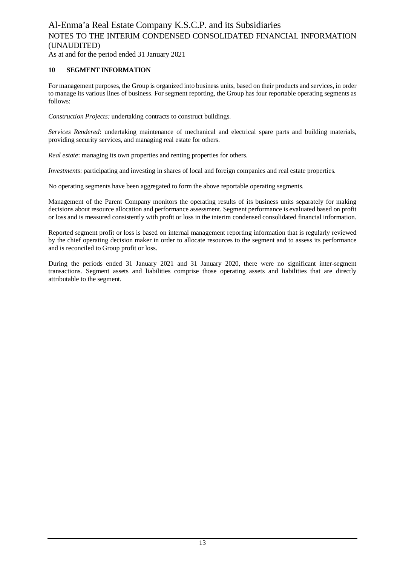As at and for the period ended 31 January 2021

### **10 SEGMENT INFORMATION**

For management purposes, the Group is organized into business units, based on their products and services, in order to manage its various lines of business. For segment reporting, the Group has four reportable operating segments as follows:

*Construction Projects:* undertaking contracts to construct buildings.

*Services Rendered*: undertaking maintenance of mechanical and electrical spare parts and building materials, providing security services, and managing real estate for others.

*Real estate:* managing its own properties and renting properties for others.

*Investments*: participating and investing in shares of local and foreign companies and real estate properties.

No operating segments have been aggregated to form the above reportable operating segments.

Management of the Parent Company monitors the operating results of its business units separately for making decisions about resource allocation and performance assessment. Segment performance is evaluated based on profit or loss and is measured consistently with profit or loss in the interim condensed consolidated financial information.

Reported segment profit or loss is based on internal management reporting information that is regularly reviewed by the chief operating decision maker in order to allocate resources to the segment and to assess its performance and is reconciled to Group profit or loss.

During the periods ended 31 January 2021 and 31 January 2020, there were no significant inter-segment transactions. Segment assets and liabilities comprise those operating assets and liabilities that are directly attributable to the segment.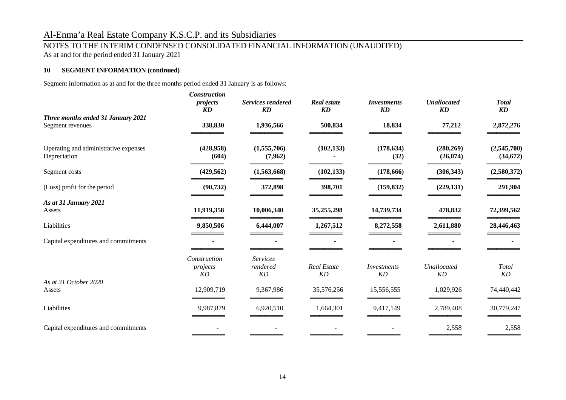# NOTES TO THE INTERIM CONDENSED CONSOLIDATED FINANCIAL INFORMATION (UNAUDITED)

As at and for the period ended 31 January 2021

### **10 SEGMENT INFORMATION (continued)**

Segment information as at and for the three months period ended 31 January is as follows:

|                                                        | <b>Construction</b><br>projects | <b>Services rendered</b>          | <b>Real estate</b>       | <i>Investments</i> | <b>Unallocated</b>     | <b>Total</b>             |
|--------------------------------------------------------|---------------------------------|-----------------------------------|--------------------------|--------------------|------------------------|--------------------------|
|                                                        | KD                              | KD                                | KD                       | <b>KD</b>          | KD                     | KD                       |
| Three months ended 31 January 2021<br>Segment revenues | 338,830                         | 1,936,566                         | 500,834                  | 18,834             | 77,212                 | 2,872,276                |
| Operating and administrative expenses<br>Depreciation  | (428,958)<br>(604)              | (1,555,706)<br>(7,962)            | (102, 133)               | (178, 634)<br>(32) | (280, 269)<br>(26,074) | (2,545,700)<br>(34, 672) |
| Segment costs                                          | (429, 562)                      | (1,563,668)                       | (102, 133)               | (178, 666)         | (306, 343)             | (2,580,372)              |
| (Loss) profit for the period                           | (90, 732)                       | 372,898                           | 398,701                  | (159, 832)         | (229, 131)             | 291,904                  |
| As at 31 January 2021                                  |                                 |                                   |                          |                    |                        |                          |
| Assets                                                 | 11,919,358                      | 10,006,340                        | 35,255,298               | 14,739,734         | 478,832                | 72,399,562               |
| Liabilities                                            | 9,850,506                       | 6,444,007                         | 1,267,512                | 8,272,558          | 2,611,880              | 28,446,463               |
| Capital expenditures and commitments                   |                                 |                                   |                          |                    |                        |                          |
|                                                        | Construction<br>projects<br>KD  | <b>Services</b><br>rendered<br>KD | <b>Real Estate</b><br>KD | Investments<br>KD  | Unallocated<br>KD      | Total<br>KD              |
| As at 31 October 2020                                  |                                 |                                   |                          |                    |                        |                          |
| Assets                                                 | 12,909,719                      | 9,367,986                         | 35,576,256               | 15,556,555         | 1,029,926              | 74,440,442               |
| Liabilities                                            | 9,987,879                       | 6,920,510                         | 1,664,301                | 9,417,149          | 2,789,408              | 30,779,247               |
| Capital expenditures and commitments                   |                                 |                                   |                          |                    | 2,558                  | 2,558                    |
|                                                        |                                 |                                   |                          |                    |                        |                          |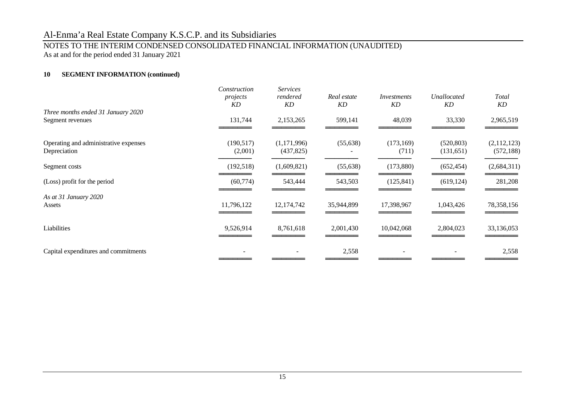# NOTES TO THE INTERIM CONDENSED CONSOLIDATED FINANCIAL INFORMATION (UNAUDITED)

As at and for the period ended 31 January 2021

# **10 SEGMENT INFORMATION (continued)**

|                                                        | Construction<br>projects<br>KD | <b>Services</b><br>rendered<br>KD | Real estate<br>KD | Investments<br>KD   | Unallocated<br>KD       | Total<br>KD               |
|--------------------------------------------------------|--------------------------------|-----------------------------------|-------------------|---------------------|-------------------------|---------------------------|
| Three months ended 31 January 2020<br>Segment revenues | 131,744                        | 2,153,265                         | 599,141           | 48,039              | 33,330                  | 2,965,519                 |
| Operating and administrative expenses<br>Depreciation  | (190, 517)<br>(2,001)          | (1,171,996)<br>(437, 825)         | (55, 638)         | (173, 169)<br>(711) | (520, 803)<br>(131,651) | (2,112,123)<br>(572, 188) |
| Segment costs                                          | (192, 518)                     | (1,609,821)                       | (55, 638)         | (173,880)           | (652, 454)              | (2,684,311)               |
| (Loss) profit for the period                           | (60, 774)                      | 543,444                           | 543,503           | (125, 841)          | (619, 124)              | 281,208                   |
| As at 31 January 2020<br>Assets                        | 11,796,122                     | 12,174,742                        | 35,944,899        | 17,398,967          | 1,043,426               | 78,358,156                |
| Liabilities                                            | 9,526,914                      | 8,761,618                         | 2,001,430         | 10,042,068          | 2,804,023               | 33,136,053                |
| Capital expenditures and commitments                   |                                |                                   | 2,558             |                     |                         | 2,558                     |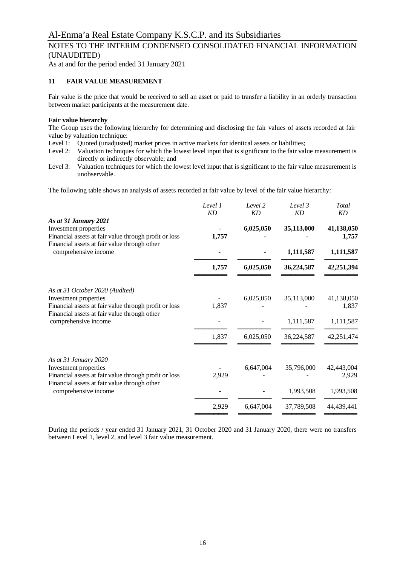# NOTES TO THE INTERIM CONDENSED CONSOLIDATED FINANCIAL INFORMATION (UNAUDITED)

As at and for the period ended 31 January 2021

### **11 FAIR VALUE MEASUREMENT**

Fair value is the price that would be received to sell an asset or paid to transfer a liability in an orderly transaction between market participants at the measurement date.

### **Fair value hierarchy**

The Group uses the following hierarchy for determining and disclosing the fair values of assets recorded at fair value by valuation technique:

- Level 1: Quoted (unadjusted) market prices in active markets for identical assets or liabilities;
- Level 2: Valuation techniques for which the lowest level input that is significant to the fair value measurement is directly or indirectly observable; and
- Level 3: Valuation techniques for which the lowest level input that is significant to the fair value measurement is unobservable.

The following table shows an analysis of assets recorded at fair value by level of the fair value hierarchy:

|                                                                                                         | Level 1<br>KD | Level 2<br><b>KD</b> | Level 3<br>KD | Total<br>KD         |
|---------------------------------------------------------------------------------------------------------|---------------|----------------------|---------------|---------------------|
| As at 31 January 2021<br>Investment properties<br>Financial assets at fair value through profit or loss | 1,757         | 6,025,050            | 35,113,000    | 41,138,050<br>1,757 |
| Financial assets at fair value through other<br>comprehensive income                                    |               |                      | 1,111,587     | 1,111,587           |
|                                                                                                         | 1,757         | 6,025,050            | 36,224,587    | 42,251,394          |
| As at 31 October 2020 (Audited)                                                                         |               |                      |               |                     |
| Investment properties                                                                                   |               | 6,025,050            | 35,113,000    | 41,138,050          |
| Financial assets at fair value through profit or loss                                                   | 1,837         |                      |               | 1,837               |
| Financial assets at fair value through other<br>comprehensive income                                    |               |                      | 1,111,587     | 1,111,587           |
|                                                                                                         | 1,837         | 6,025,050            | 36,224,587    | 42,251,474          |
| As at 31 January 2020                                                                                   |               |                      |               |                     |
| Investment properties                                                                                   |               | 6,647,004            | 35,796,000    | 42,443,004          |
| Financial assets at fair value through profit or loss                                                   | 2,929         |                      |               | 2,929               |
| Financial assets at fair value through other<br>comprehensive income                                    |               |                      | 1,993,508     | 1,993,508           |
|                                                                                                         | 2,929         | 6,647,004            | 37,789,508    | 44,439,441          |
|                                                                                                         |               |                      |               |                     |

During the periods / year ended 31 January 2021, 31 October 2020 and 31 January 2020, there were no transfers between Level 1, level 2, and level 3 fair value measurement.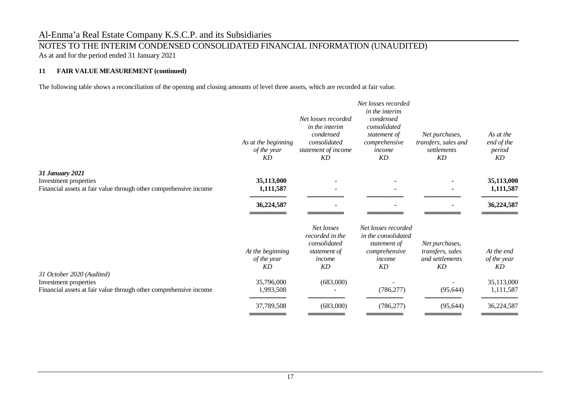# NOTES TO THE INTERIM CONDENSED CONSOLIDATED FINANCIAL INFORMATION (UNAUDITED)

As at and for the period ended 31 January 2021

# **11 FAIR VALUE MEASUREMENT (continued)**

The following table shows a reconciliation of the opening and closing amounts of level three assets, which are recorded at fair value.

|                                                                                                                         | As at the beginning<br>of the year<br><b>KD</b> | Net losses recorded<br>in the interim<br>condensed<br>consolidated<br>statement of income<br>KD | Net losses recorded<br>in the interim<br>condensed<br>consolidated<br>statement of<br>comprehensive<br>income<br>KD | Net purchases,<br>transfers, sales and<br>settlements<br>KD | As at the<br>end of the<br>period<br>KD |
|-------------------------------------------------------------------------------------------------------------------------|-------------------------------------------------|-------------------------------------------------------------------------------------------------|---------------------------------------------------------------------------------------------------------------------|-------------------------------------------------------------|-----------------------------------------|
| <b>31 January 2021</b>                                                                                                  | 35,113,000                                      |                                                                                                 |                                                                                                                     |                                                             | 35,113,000                              |
| Investment properties<br>Financial assets at fair value through other comprehensive income                              | 1,111,587                                       | $\sim$                                                                                          |                                                                                                                     |                                                             | 1,111,587                               |
|                                                                                                                         | 36,224,587                                      |                                                                                                 |                                                                                                                     |                                                             | 36,224,587                              |
|                                                                                                                         | At the beginning<br>of the year<br><b>KD</b>    | Net losses<br>recorded in the<br>consolidated<br>statement of<br>income<br>KD                   | Net losses recorded<br>in the consolidated<br>statement of<br>comprehensive<br>income<br>KD                         | Net purchases,<br>transfers, sales<br>and settlements<br>KD | At the end<br>of the year<br>KD         |
| 31 October 2020 (Audited)<br>Investment properties<br>Financial assets at fair value through other comprehensive income | 35,796,000<br>1,993,508                         | (683,000)                                                                                       | (786, 277)                                                                                                          | (95, 644)                                                   | 35,113,000<br>1,111,587                 |
|                                                                                                                         | 37,789,508                                      | (683,000)                                                                                       | (786, 277)                                                                                                          | (95, 644)                                                   | 36,224,587                              |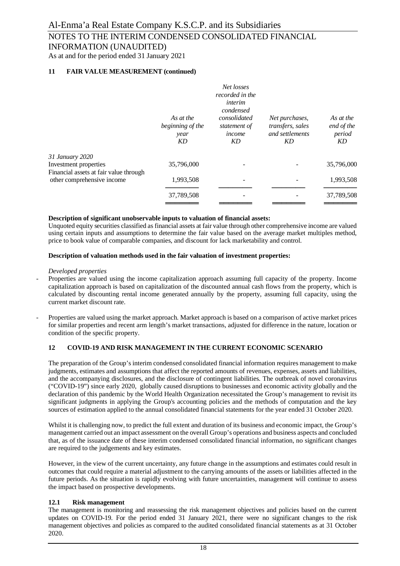As at and for the period ended 31 January 2021

### **11 FAIR VALUE MEASUREMENT (continued)**

|                                                                      | As at the<br>beginning of the<br>year<br>KD | Net losses<br>recorded in the<br>interim<br>condensed<br>consolidated<br>statement of<br>income<br>KD | Net purchases,<br>transfers, sales<br>and settlements<br>KD | As at the<br>end of the<br>period<br>KD |
|----------------------------------------------------------------------|---------------------------------------------|-------------------------------------------------------------------------------------------------------|-------------------------------------------------------------|-----------------------------------------|
| 31 January 2020<br>Investment properties                             | 35,796,000                                  |                                                                                                       |                                                             | 35,796,000                              |
| Financial assets at fair value through<br>other comprehensive income | 1,993,508                                   |                                                                                                       |                                                             | 1,993,508                               |
|                                                                      | 37,789,508                                  |                                                                                                       |                                                             | 37,789,508                              |
|                                                                      |                                             |                                                                                                       |                                                             |                                         |

#### **Description of significant unobservable inputs to valuation of financial assets:**

Unquoted equity securities classified as financial assets at fair value through other comprehensive income are valued using certain inputs and assumptions to determine the fair value based on the average market multiples method, price to book value of comparable companies, and discount for lack marketability and control.

#### **Description of valuation methods used in the fair valuation of investment properties:**

#### *Developed properties*

- Properties are valued using the income capitalization approach assuming full capacity of the property. Income capitalization approach is based on capitalization of the discounted annual cash flows from the property, which is calculated by discounting rental income generated annually by the property, assuming full capacity, using the current market discount rate.
- Properties are valued using the market approach. Market approach is based on a comparison of active market prices for similar properties and recent arm length's market transactions, adjusted for difference in the nature, location or condition of the specific property.

### **12 COVID-19 AND RISK MANAGEMENT IN THE CURRENT ECONOMIC SCENARIO**

The preparation of the Group's interim condensed consolidated financial information requires management to make judgments, estimates and assumptions that affect the reported amounts of revenues, expenses, assets and liabilities, and the accompanying disclosures, and the disclosure of contingent liabilities. The outbreak of novel coronavirus ("COVID-19") since early 2020, globally caused disruptions to businesses and economic activity globally and the declaration of this pandemic by the World Health Organization necessitated the Group's management to revisit its significant judgments in applying the Group's accounting policies and the methods of computation and the key sources of estimation applied to the annual consolidated financial statements for the year ended 31 October 2020.

Whilst it is challenging now, to predict the full extent and duration of its business and economic impact, the Group's management carried out an impact assessment on the overall Group's operations and business aspects and concluded that, as of the issuance date of these interim condensed consolidated financial information, no significant changes are required to the judgements and key estimates.

However, in the view of the current uncertainty, any future change in the assumptions and estimates could result in outcomes that could require a material adjustment to the carrying amounts of the assets or liabilities affected in the future periods. As the situation is rapidly evolving with future uncertainties, management will continue to assess the impact based on prospective developments.

### **12.1 Risk management**

The management is monitoring and reassessing the risk management objectives and policies based on the current updates on COVID-19. For the period ended 31 January 2021, there were no significant changes to the risk management objectives and policies as compared to the audited consolidated financial statements as at 31 October 2020.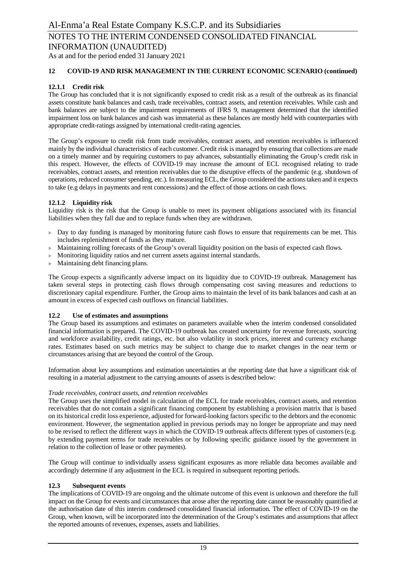As at and for the period ended 31 January 2021

### **12 COVID-19 AND RISK MANAGEMENT IN THE CURRENT ECONOMIC SCENARIO (continued)**

### **12.1.1 Credit risk**

The Group has concluded that it is not significantly exposed to credit risk as a result of the outbreak as its financial assets constitute bank balances and cash, trade receivables, contract assets, and retention receivables. While cash and bank balances are subject to the impairment requirements of IFRS 9, management determined that the identified impairment loss on bank balances and cash was immaterial as these balances are mostly held with counterparties with appropriate credit-ratings assigned by international credit-rating agencies.

The Group's exposure to credit risk from trade receivables, contract assets, and retention receivables is influenced mainly by the individual characteristics of each customer. Credit risk is managed by ensuring that collections are made on a timely manner and by requiring customers to pay advances, substantially eliminating the Group's credit risk in this respect. However, the effects of COVID-19 may increase the amount of ECL recognised relating to trade receivables, contract assets, and retention receivables due to the disruptive effects of the pandemic (e.g. shutdown of operations, reduced consumer spending, etc.). In measuring ECL, the Group considered the actions taken and it expects to take (e.g delays in payments and rent concessions) and the effect of those actions on cash flows.

### **12.1.2 Liquidity risk**

Liquidity risk is the risk that the Group is unable to meet its payment obligations associated with its financial liabilities when they fall due and to replace funds when they are withdrawn.

- $\triangleright$  Day to day funding is managed by monitoring future cash flows to ensure that requirements can be met. This includes replenishment of funds as they mature.
- $\blacktriangleright$  Maintaining rolling forecasts of the Group's overall liquidity position on the basis of expected cash flows.
- Monitoring liquidity ratios and net current assets against internal standards.
- Maintaining debt financing plans.

The Group expects a significantly adverse impact on its liquidity due to COVID-19 outbreak. Management has taken several steps in protecting cash flows through compensating cost saving measures and reductions to discretionary capital expenditure. Further, the Group aims to maintain the level of its bank balances and cash at an amount in excess of expected cash outflows on financial liabilities.

### **12.2 Use of estimates and assumptions**

The Group based its assumptions and estimates on parameters available when the interim condensed consolidated financial information is prepared. The COVID-19 outbreak has created uncertainty for revenue forecasts, sourcing and workforce availability, credit ratings, etc. but also volatility in stock prices, interest and currency exchange rates. Estimates based on such metrics may be subject to change due to market changes in the near term or circumstances arising that are beyond the control of the Group.

Information about key assumptions and estimation uncertainties at the reporting date that have a significant risk of resulting in a material adjustment to the carrying amounts of assets is described below:

### *Trade receivables, contract assets, and retention receivables*

The Group uses the simplified model in calculation of the ECL for trade receivables, contract assets, and retention receivables that do not contain a significant financing component by establishing a provision matrix that is based on its historical credit loss experience, adjusted for forward-looking factors specific to the debtors and the economic environment. However, the segmentation applied in previous periods may no longer be appropriate and may need to be revised to reflect the different ways in which the COVID-19 outbreak affects different types of customers (e.g. by extending payment terms for trade receivables or by following specific guidance issued by the government in relation to the collection of lease or other payments).

The Group will continue to individually assess significant exposures as more reliable data becomes available and accordingly determine if any adjustment in the ECL is required in subsequent reporting periods.

### **12.3 Subsequent events**

The implications of COVID-19 are ongoing and the ultimate outcome of this event is unknown and therefore the full impact on the Group for events and circumstances that arose after the reporting date cannot be reasonably quantified at the authorisation date of this interim condensed consolidated financial information. The effect of COVID-19 on the Group, when known, will be incorporated into the determination of the Group's estimates and assumptions that affect the reported amounts of revenues, expenses, assets and liabilities.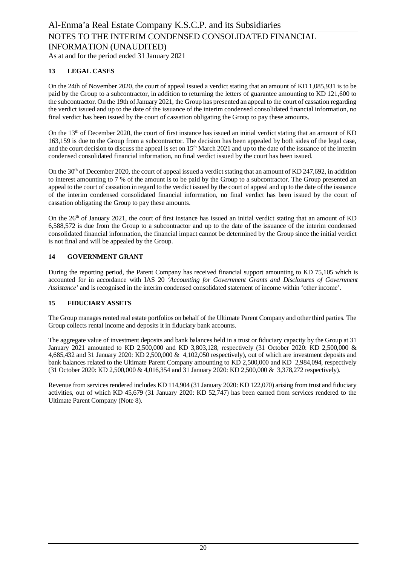As at and for the period ended 31 January 2021

# **13 LEGAL CASES**

On the 24th of November 2020, the court of appeal issued a verdict stating that an amount of KD 1,085,931 is to be paid by the Group to a subcontractor, in addition to returning the letters of guarantee amounting to KD 121,600 to the subcontractor. On the 19th of January 2021, the Group has presented an appeal to the court of cassation regarding the verdict issued and up to the date of the issuance of the interim condensed consolidated financial information, no final verdict has been issued by the court of cassation obligating the Group to pay these amounts.

On the 13<sup>th</sup> of December 2020, the court of first instance has issued an initial verdict stating that an amount of KD 163,159 is due to the Group from a subcontractor. The decision has been appealed by both sides of the legal case, and the court decision to discuss the appeal is set on  $15<sup>th</sup>$  March 2021 and up to the date of the issuance of the interim condensed consolidated financial information, no final verdict issued by the court has been issued.

On the  $30<sup>th</sup>$  of December 2020, the court of appeal issued a verdict stating that an amount of KD 247,692, in addition to interest amounting to 7 % of the amount is to be paid by the Group to a subcontractor. The Group presented an appeal to the court of cassation in regard to the verdict issued by the court of appeal and up to the date of the issuance of the interim condensed consolidated financial information, no final verdict has been issued by the court of cassation obligating the Group to pay these amounts.

On the  $26<sup>th</sup>$  of January 2021, the court of first instance has issued an initial verdict stating that an amount of KD 6,588,572 is due from the Group to a subcontractor and up to the date of the issuance of the interim condensed consolidated financial information, the financial impact cannot be determined by the Group since the initial verdict is not final and will be appealed by the Group.

### **14 GOVERNMENT GRANT**

During the reporting period, the Parent Company has received financial support amounting to KD 75,105 which is accounted for in accordance with IAS 20 *'Accounting for Government Grants and Disclosures of Government Assistance'* and is recognised in the interim condensed consolidated statement of income within 'other income'.

### **15 FIDUCIARY ASSETS**

The Group manages rented real estate portfolios on behalf of the Ultimate Parent Company and other third parties. The Group collects rental income and deposits it in fiduciary bank accounts.

The aggregate value of investment deposits and bank balances held in a trust or fiduciary capacity by the Group at 31 January 2021 amounted to KD 2,500,000 and KD 3,803,128, respectively (31 October 2020: KD 2,500,000 & 4,685,432 and 31 January 2020: KD 2,500,000 & 4,102,050 respectively), out of which are investment deposits and bank balances related to the Ultimate Parent Company amounting to KD 2,500,000 and KD 2,984,094, respectively (31 October 2020: KD 2,500,000 & 4,016,354 and 31 January 2020: KD 2,500,000 & 3,378,272 respectively).

Revenue from services rendered includes KD 114,904 (31 January 2020: KD 122,070) arising from trust and fiduciary activities, out of which KD 45,679 (31 January 2020: KD 52,747) has been earned from services rendered to the Ultimate Parent Company (Note 8).